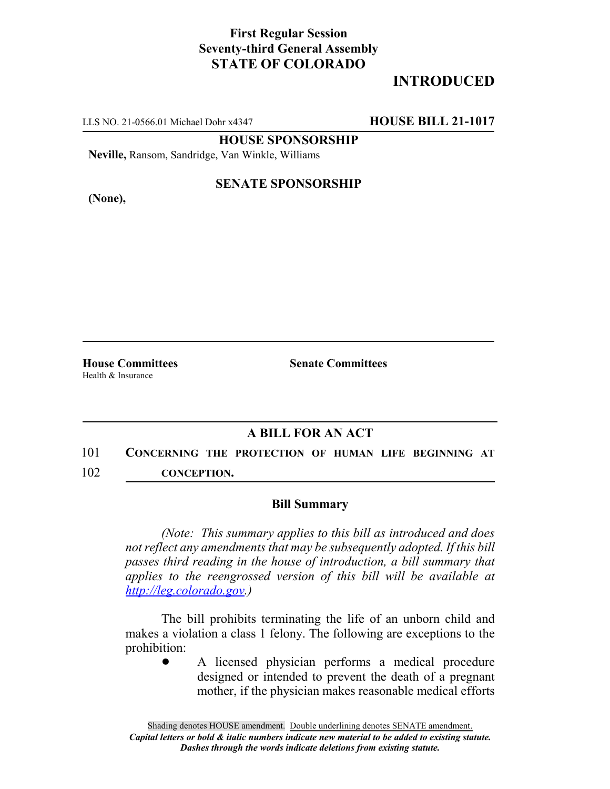### **First Regular Session Seventy-third General Assembly STATE OF COLORADO**

## **INTRODUCED**

LLS NO. 21-0566.01 Michael Dohr x4347 **HOUSE BILL 21-1017**

**HOUSE SPONSORSHIP**

**Neville,** Ransom, Sandridge, Van Winkle, Williams

**(None),**

#### **SENATE SPONSORSHIP**

Health & Insurance

**House Committees Senate Committees**

#### **A BILL FOR AN ACT**

# 101 **CONCERNING THE PROTECTION OF HUMAN LIFE BEGINNING AT**

102 **CONCEPTION.**

#### **Bill Summary**

*(Note: This summary applies to this bill as introduced and does not reflect any amendments that may be subsequently adopted. If this bill passes third reading in the house of introduction, a bill summary that applies to the reengrossed version of this bill will be available at http://leg.colorado.gov.)*

The bill prohibits terminating the life of an unborn child and makes a violation a class 1 felony. The following are exceptions to the prohibition:

A licensed physician performs a medical procedure designed or intended to prevent the death of a pregnant mother, if the physician makes reasonable medical efforts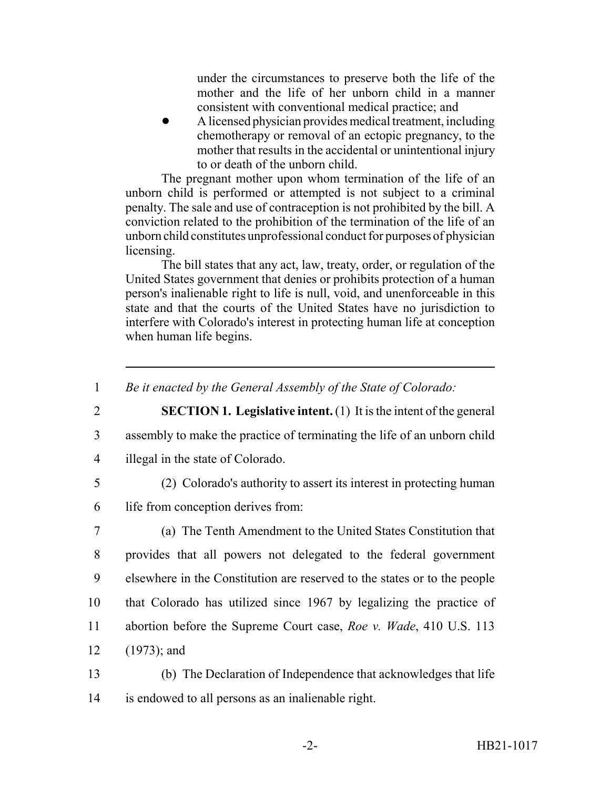under the circumstances to preserve both the life of the mother and the life of her unborn child in a manner consistent with conventional medical practice; and

! A licensed physician provides medical treatment, including chemotherapy or removal of an ectopic pregnancy, to the mother that results in the accidental or unintentional injury to or death of the unborn child.

The pregnant mother upon whom termination of the life of an unborn child is performed or attempted is not subject to a criminal penalty. The sale and use of contraception is not prohibited by the bill. A conviction related to the prohibition of the termination of the life of an unborn child constitutes unprofessional conduct for purposes of physician licensing.

The bill states that any act, law, treaty, order, or regulation of the United States government that denies or prohibits protection of a human person's inalienable right to life is null, void, and unenforceable in this state and that the courts of the United States have no jurisdiction to interfere with Colorado's interest in protecting human life at conception when human life begins.

1 *Be it enacted by the General Assembly of the State of Colorado:*

- 
- 2 **SECTION 1. Legislative intent.** (1) It is the intent of the general
- 3 assembly to make the practice of terminating the life of an unborn child
	- 4 illegal in the state of Colorado.
- 
- 5 (2) Colorado's authority to assert its interest in protecting human
- 6 life from conception derives from:
- 7 (a) The Tenth Amendment to the United States Constitution that 8 provides that all powers not delegated to the federal government 9 elsewhere in the Constitution are reserved to the states or to the people 10 that Colorado has utilized since 1967 by legalizing the practice of 11 abortion before the Supreme Court case, *Roe v. Wade*, 410 U.S. 113 12 (1973); and
- 13 (b) The Declaration of Independence that acknowledges that life 14 is endowed to all persons as an inalienable right.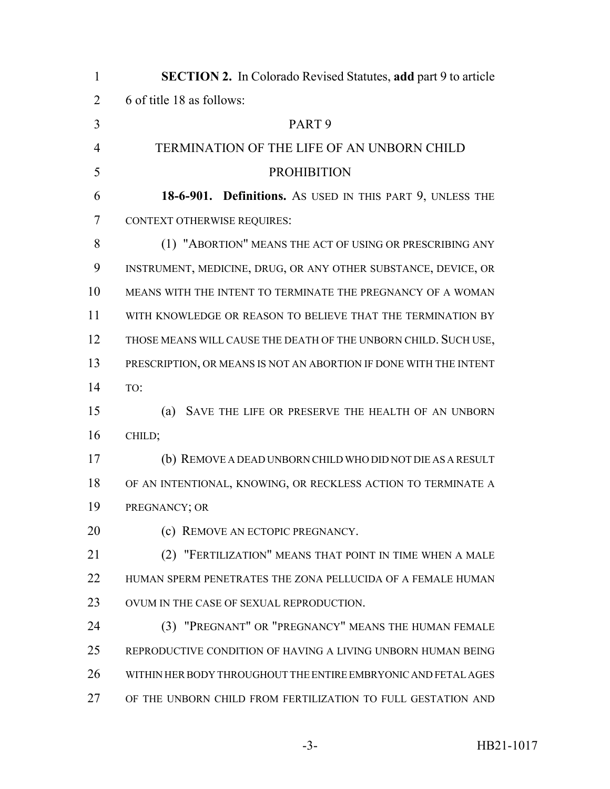| 1              | <b>SECTION 2.</b> In Colorado Revised Statutes, add part 9 to article |
|----------------|-----------------------------------------------------------------------|
| $\overline{2}$ | 6 of title 18 as follows:                                             |
| 3              | PART <sub>9</sub>                                                     |
| $\overline{4}$ | TERMINATION OF THE LIFE OF AN UNBORN CHILD                            |
| 5              | <b>PROHIBITION</b>                                                    |
| 6              | 18-6-901. Definitions. As USED IN THIS PART 9, UNLESS THE             |
| 7              | <b>CONTEXT OTHERWISE REQUIRES:</b>                                    |
| 8              | (1) "ABORTION" MEANS THE ACT OF USING OR PRESCRIBING ANY              |
| 9              | INSTRUMENT, MEDICINE, DRUG, OR ANY OTHER SUBSTANCE, DEVICE, OR        |
| 10             | MEANS WITH THE INTENT TO TERMINATE THE PREGNANCY OF A WOMAN           |
| 11             | WITH KNOWLEDGE OR REASON TO BELIEVE THAT THE TERMINATION BY           |
| 12             | THOSE MEANS WILL CAUSE THE DEATH OF THE UNBORN CHILD. SUCH USE,       |
| 13             | PRESCRIPTION, OR MEANS IS NOT AN ABORTION IF DONE WITH THE INTENT     |
| 14             | TO:                                                                   |
| 15             | (a)<br>SAVE THE LIFE OR PRESERVE THE HEALTH OF AN UNBORN              |
| 16             | CHILD;                                                                |
| 17             | (b) REMOVE A DEAD UNBORN CHILD WHO DID NOT DIE AS A RESULT            |
| 18             | OF AN INTENTIONAL, KNOWING, OR RECKLESS ACTION TO TERMINATE A         |
| 19             | PREGNANCY; OR                                                         |
| 20             | REMOVE AN ECTOPIC PREGNANCY.<br>(c)                                   |
| 21             | "FERTILIZATION" MEANS THAT POINT IN TIME WHEN A MALE<br>(2)           |
| 22             | HUMAN SPERM PENETRATES THE ZONA PELLUCIDA OF A FEMALE HUMAN           |
| 23             | OVUM IN THE CASE OF SEXUAL REPRODUCTION.                              |
| 24             | "PREGNANT" OR "PREGNANCY" MEANS THE HUMAN FEMALE<br>(3)               |
| 25             | REPRODUCTIVE CONDITION OF HAVING A LIVING UNBORN HUMAN BEING          |
| 26             | WITHIN HER BODY THROUGHOUT THE ENTIRE EMBRYONIC AND FETAL AGES        |
| 27             | OF THE UNBORN CHILD FROM FERTILIZATION TO FULL GESTATION AND          |
|                |                                                                       |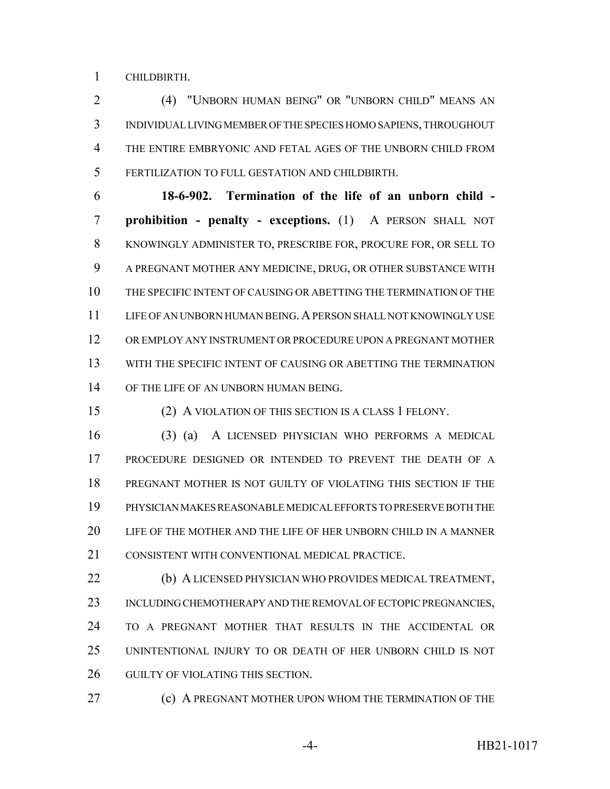CHILDBIRTH.

 (4) "UNBORN HUMAN BEING" OR "UNBORN CHILD" MEANS AN INDIVIDUAL LIVING MEMBER OF THE SPECIES HOMO SAPIENS, THROUGHOUT THE ENTIRE EMBRYONIC AND FETAL AGES OF THE UNBORN CHILD FROM FERTILIZATION TO FULL GESTATION AND CHILDBIRTH.

 **18-6-902. Termination of the life of an unborn child - prohibition - penalty - exceptions.** (1) A PERSON SHALL NOT KNOWINGLY ADMINISTER TO, PRESCRIBE FOR, PROCURE FOR, OR SELL TO A PREGNANT MOTHER ANY MEDICINE, DRUG, OR OTHER SUBSTANCE WITH THE SPECIFIC INTENT OF CAUSING OR ABETTING THE TERMINATION OF THE LIFE OF AN UNBORN HUMAN BEING.A PERSON SHALL NOT KNOWINGLY USE OR EMPLOY ANY INSTRUMENT OR PROCEDURE UPON A PREGNANT MOTHER WITH THE SPECIFIC INTENT OF CAUSING OR ABETTING THE TERMINATION 14 OF THE LIFE OF AN UNBORN HUMAN BEING.

(2) A VIOLATION OF THIS SECTION IS A CLASS 1 FELONY.

 (3) (a) A LICENSED PHYSICIAN WHO PERFORMS A MEDICAL PROCEDURE DESIGNED OR INTENDED TO PREVENT THE DEATH OF A PREGNANT MOTHER IS NOT GUILTY OF VIOLATING THIS SECTION IF THE PHYSICIAN MAKES REASONABLE MEDICAL EFFORTS TO PRESERVE BOTH THE LIFE OF THE MOTHER AND THE LIFE OF HER UNBORN CHILD IN A MANNER CONSISTENT WITH CONVENTIONAL MEDICAL PRACTICE.

 (b) A LICENSED PHYSICIAN WHO PROVIDES MEDICAL TREATMENT, 23 INCLUDING CHEMOTHERAPY AND THE REMOVAL OF ECTOPIC PREGNANCIES, TO A PREGNANT MOTHER THAT RESULTS IN THE ACCIDENTAL OR UNINTENTIONAL INJURY TO OR DEATH OF HER UNBORN CHILD IS NOT 26 GUILTY OF VIOLATING THIS SECTION.

**(c) A PREGNANT MOTHER UPON WHOM THE TERMINATION OF THE**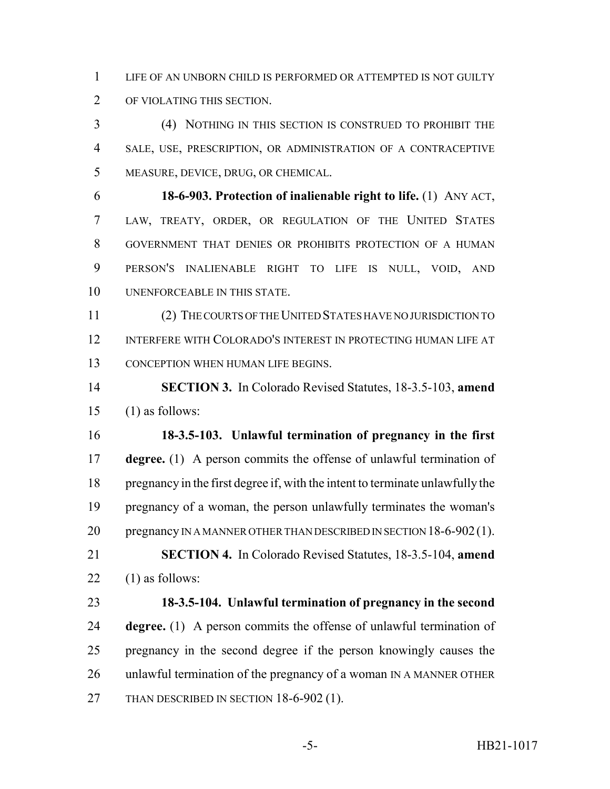LIFE OF AN UNBORN CHILD IS PERFORMED OR ATTEMPTED IS NOT GUILTY OF VIOLATING THIS SECTION.

 (4) NOTHING IN THIS SECTION IS CONSTRUED TO PROHIBIT THE SALE, USE, PRESCRIPTION, OR ADMINISTRATION OF A CONTRACEPTIVE MEASURE, DEVICE, DRUG, OR CHEMICAL.

 **18-6-903. Protection of inalienable right to life.** (1) ANY ACT, LAW, TREATY, ORDER, OR REGULATION OF THE UNITED STATES GOVERNMENT THAT DENIES OR PROHIBITS PROTECTION OF A HUMAN PERSON'S INALIENABLE RIGHT TO LIFE IS NULL, VOID, AND UNENFORCEABLE IN THIS STATE.

 (2) THE COURTS OF THE UNITED STATES HAVE NO JURISDICTION TO INTERFERE WITH COLORADO'S INTEREST IN PROTECTING HUMAN LIFE AT 13 CONCEPTION WHEN HUMAN LIFE BEGINS.

 **SECTION 3.** In Colorado Revised Statutes, 18-3.5-103, **amend** (1) as follows:

 **18-3.5-103. Unlawful termination of pregnancy in the first degree.** (1) A person commits the offense of unlawful termination of pregnancy in the first degree if, with the intent to terminate unlawfully the pregnancy of a woman, the person unlawfully terminates the woman's 20 pregnancy IN A MANNER OTHER THAN DESCRIBED IN SECTION 18-6-902(1).

 **SECTION 4.** In Colorado Revised Statutes, 18-3.5-104, **amend** 22  $(1)$  as follows:

 **18-3.5-104. Unlawful termination of pregnancy in the second degree.** (1) A person commits the offense of unlawful termination of pregnancy in the second degree if the person knowingly causes the unlawful termination of the pregnancy of a woman IN A MANNER OTHER 27 THAN DESCRIBED IN SECTION 18-6-902 (1).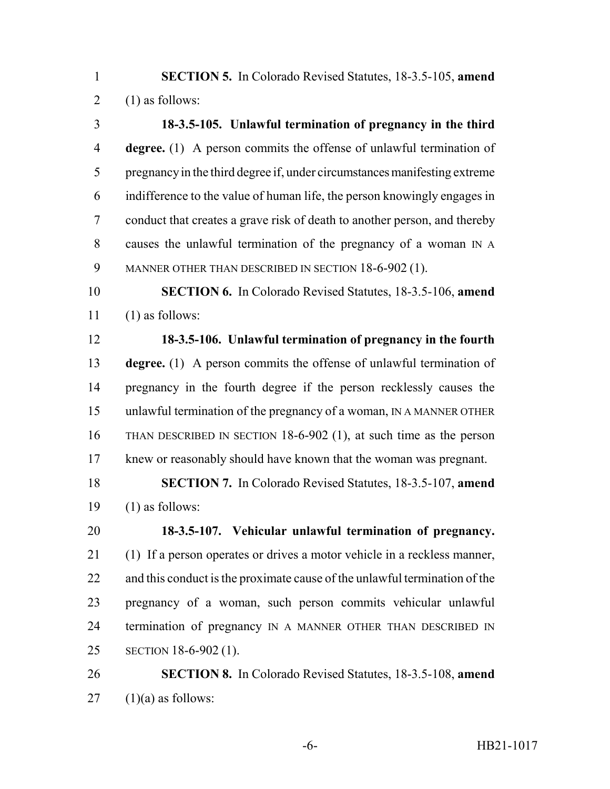**SECTION 5.** In Colorado Revised Statutes, 18-3.5-105, **amend** 2  $(1)$  as follows:

 **18-3.5-105. Unlawful termination of pregnancy in the third degree.** (1) A person commits the offense of unlawful termination of pregnancy in the third degree if, under circumstances manifesting extreme indifference to the value of human life, the person knowingly engages in conduct that creates a grave risk of death to another person, and thereby causes the unlawful termination of the pregnancy of a woman IN A 9 MANNER OTHER THAN DESCRIBED IN SECTION 18-6-902 (1).

 **SECTION 6.** In Colorado Revised Statutes, 18-3.5-106, **amend** (1) as follows:

 **18-3.5-106. Unlawful termination of pregnancy in the fourth degree.** (1) A person commits the offense of unlawful termination of pregnancy in the fourth degree if the person recklessly causes the unlawful termination of the pregnancy of a woman, IN A MANNER OTHER THAN DESCRIBED IN SECTION 18-6-902 (1), at such time as the person knew or reasonably should have known that the woman was pregnant.

 **SECTION 7.** In Colorado Revised Statutes, 18-3.5-107, **amend** 19  $(1)$  as follows:

 **18-3.5-107. Vehicular unlawful termination of pregnancy.** (1) If a person operates or drives a motor vehicle in a reckless manner, and this conduct is the proximate cause of the unlawful termination of the pregnancy of a woman, such person commits vehicular unlawful 24 termination of pregnancy IN A MANNER OTHER THAN DESCRIBED IN SECTION 18-6-902 (1).

 **SECTION 8.** In Colorado Revised Statutes, 18-3.5-108, **amend** (1)(a) as follows: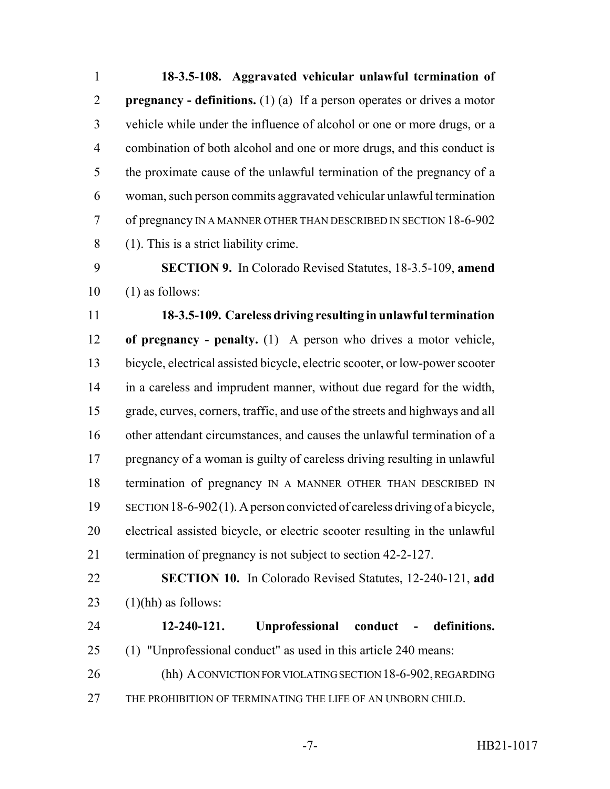**18-3.5-108. Aggravated vehicular unlawful termination of pregnancy - definitions.** (1) (a) If a person operates or drives a motor vehicle while under the influence of alcohol or one or more drugs, or a combination of both alcohol and one or more drugs, and this conduct is the proximate cause of the unlawful termination of the pregnancy of a woman, such person commits aggravated vehicular unlawful termination of pregnancy IN A MANNER OTHER THAN DESCRIBED IN SECTION 18-6-902 (1). This is a strict liability crime. **SECTION 9.** In Colorado Revised Statutes, 18-3.5-109, **amend** (1) as follows: **18-3.5-109. Careless driving resulting in unlawful termination of pregnancy - penalty.** (1) A person who drives a motor vehicle, bicycle, electrical assisted bicycle, electric scooter, or low-power scooter in a careless and imprudent manner, without due regard for the width, grade, curves, corners, traffic, and use of the streets and highways and all other attendant circumstances, and causes the unlawful termination of a pregnancy of a woman is guilty of careless driving resulting in unlawful 18 termination of pregnancy IN A MANNER OTHER THAN DESCRIBED IN SECTION 18-6-902(1). A person convicted of careless driving of a bicycle, electrical assisted bicycle, or electric scooter resulting in the unlawful termination of pregnancy is not subject to section 42-2-127. **SECTION 10.** In Colorado Revised Statutes, 12-240-121, **add**  $(1)(hh)$  as follows: **12-240-121. Unprofessional conduct - definitions.** (1) "Unprofessional conduct" as used in this article 240 means: (hh) A CONVICTION FOR VIOLATING SECTION 18-6-902, REGARDING THE PROHIBITION OF TERMINATING THE LIFE OF AN UNBORN CHILD.